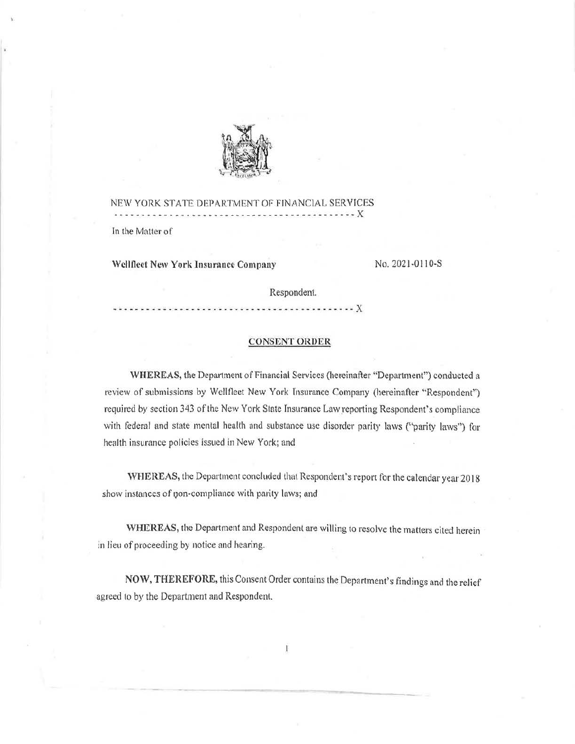

NEW YORK STATE DEPARTMENT OF FINANCIAL SERVICES ························--··················X In the Matter of

Wellfleet New York Insurance Company No. 2021-0110-S

Respondent.

··· · ··-·------·---·······-·-------·--· ·--···X

# **CONSENT ORDER**

WHEREAS, the Department of Financial Services (hereinafter "Department") conducted a review of submissions by Wellfleet New York Insurance Company (hereinafter "Respondent") required by section 343 of the New York State Insurance Law reporting Respondent's compliance with federal and state mental health and substance use disorder parity laws ("parity laws") for health insurance policies issued in New York; and

**WHEREAS,** the Department concluded that Respondent's report for the calendar year 2018 show instances of non-compliance with parity laws; and

WHEREAS, the Department and Respondent are willing to resolve the matters cited herein in lieu of proceeding by notice and hearing.

**NOW, THEREFORE,** this Consent Order contains the Department's findings and the relief agreed to by the Department and Respondent.

Ī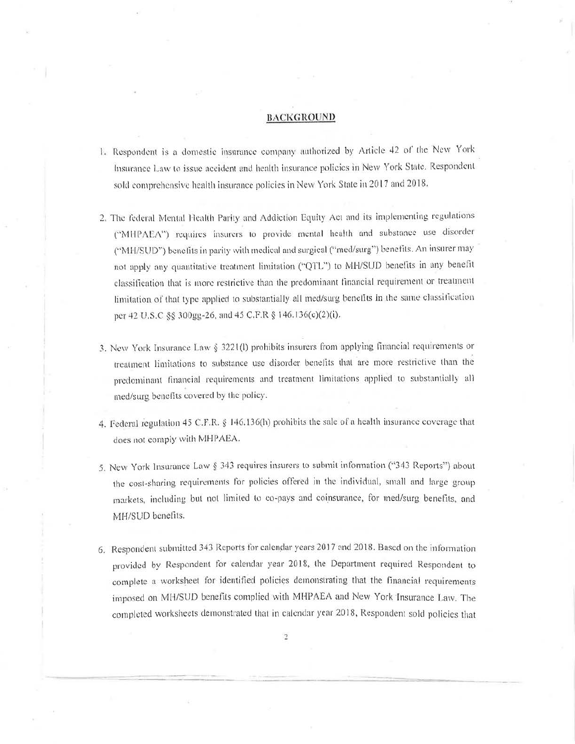### BACKGROUND

- 1. Respondent is a domestic insurance company authorized by Article 42 of the New York Insurance Law to issue accident and health insurance policies in New York State. Respondent sold comprehensive health insurance policies in New York State in 2017 and 2018.
- 2. The federal Mental Health Parity and Addiction Equity Act and its implementing regulations ("MHPAEA") requires insurers to provide mental health and substance use disorder ("MH/SUD") benefits in parity with medical and surgical ("med/surg") benefits. An insurer may not apply any quantitative treatment limitation ("QTL") to MH/SUD benefits in any benefit classification that is more restrictive than the predominant financial requirement or treatment limitation of that type applied to substantially all med/surg benefits in the same classification per 42 U.S.C §§ 300gg-26, and 45 C.F.R § 146.136(c)(2)(i).
- 3. New York Insurance Law § 3221(l) prohibits insurers from applying financial requirements or treatment limitations to substance use disorder benefits that are more restrictive than the predominant financial requirements and treatment limitations applied to substantially all med/surg benefits covered by the policy.
- 4. Federal regulation 45 C.F.R. § 146.136(h) prohibits the sale of a health insurance coverage that does not comply with MHPAEA.
- 5. New York Insurance Law § 343 requires insurers to submit information ("343 Reports") about the cost-sharing requirements for policies offered in the individual, small and large group markets, including but not limited to co-pays and coinsurance, for med/surg benefits, and MH/SUD benefits.
- 6. Respondent submitted 343 Reports for calendar years 2017 and 2018. Based on the information provided by Respondent for calendar year 2018, the Department required Respondent to complete a worksheet for identified policies demonstrating that the financial requirements imposed on MH/SUD benefits complied with MHPAEA and New York Insurance Law. The completed worksheets demonstrated that in calendar year 2018, Respondent sold policies that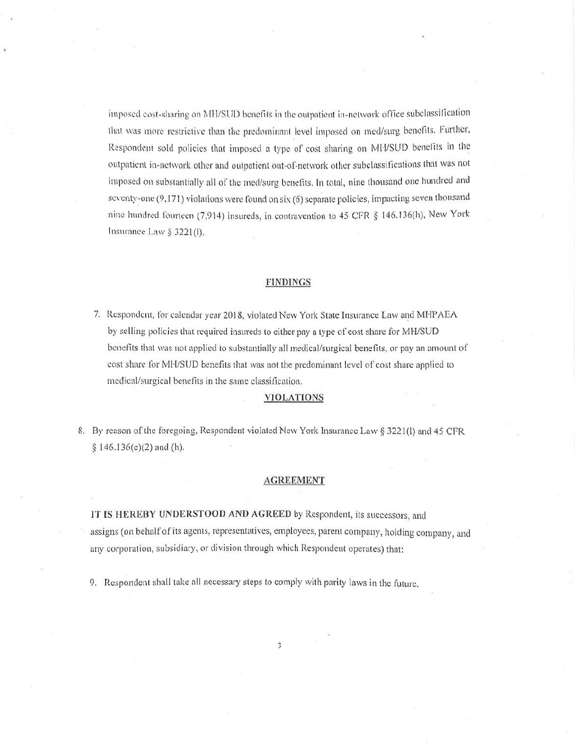imposed cost-sharing on MH/SUD benefits in the outpatient in-network office subclassification that was more restrictive than the predominant level imposed on med/surg benefits. Further, Respondent sold policies that imposed a type of cost sharing on MH/SUD benefits in the outpatient in-network other and outpatient out-of-network other subclassifications that was not imposed on substantially all of the med/surg benefits. In total, nine thousand one hundred and seventy-one  $(9,171)$  violations were found on six (6) separate policies, impacting seven thousand nine hundred fourteen (7,914) insureds, in contravention to 45 CFR § 146.136(h), New York Insurance Law§ 3221(1).

## **FlNDfNGS**

7. Respondent, for calendar year 2018, violated New York State Insurance Law and MHPAEA by selling policies that required insureds to either pay a type of cost share for MH/SUD benefits that was not applied to substantially all medical/surgical benefits, or pay an amount of cost share for MH/SUD benefits that was not the predominant level of cost share applied to medical/surgical bencfiis in the same classitication.

### **VlOLATIONS**

8. By reason of the foregoing, Respondent violated New York Insurance Law § 3221(1) and 45 CFR  $§ 146.136(c)(2)$  and (h).

## **AGREEMENT**

IT **[S HEREBY UNDERSTOOD AND AGREED** by Respondent, its successors, aud assigns (on behalf of its agents, representatives, employees, parent company, holding company, and any corporation, subsidiary, or division through which Respondent operates) that:

9. Respondent shall take all necessary steps to comply with parity laws in the future.

3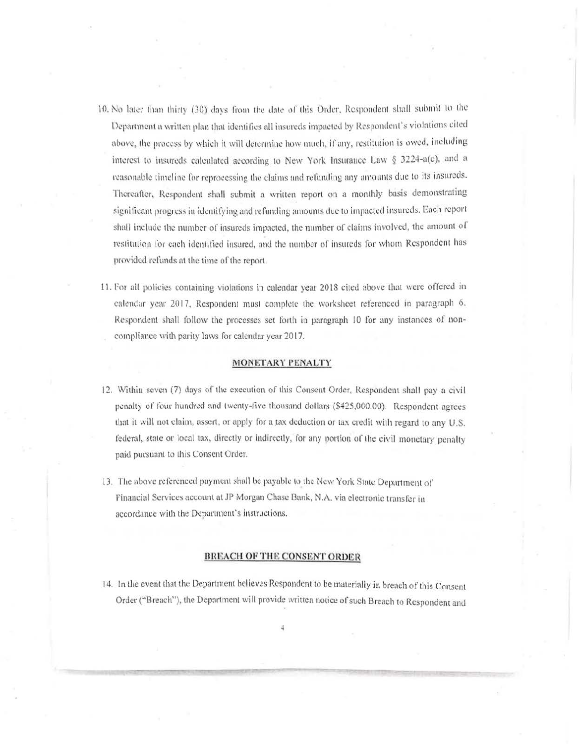- 10. No later than thirty (30) days from the date of this Order, Respondent shall submit to the Department a written plan that identifies all insureds impacted by Respondent's violations cited above, the process by which it will determine how much, if any, restitution is owed, including interest to insureds calculated according to New York Insurance Law § 3224-a(c), and a reasonable timeline for reprocessing the claims and refunding any amounts due to its insureds. Thereafter, Respondent shall submit a written report on a monthly basis demonstrating significant progress in identifying and refunding amounts due to impacted insureds. Each report shall include the number of insureds impacted, the number of claims involved, the amount of restitution for each identified insured, and the number of insureds for whom Respondent has provided refunds at the time of the report.
- 11. For all policies containing violations in calendar year 2018 cited above that were offered in calendar year 2017, Respondent must complete the worksheet referenced in paragraph 6. Respondent shall follow the processes set forth in paragraph 10 for any instances of noncompliance with parity laws for calendar year 2017.

### MONETARY PENALTY

- 12. Within seven (7) days of the execution of this Consent Order, Respondent shall pay a civil penalty of four hundred and twenty-five thousand dollars (\$425,000.00). Respondent agrees that it will not claim, assert, or apply for a tax deduction or tax credit with regard to any U.S. federal, state or local tax, directly or indirectly, for any portion of the civil monetary penalty paid pursuant to this Consent Order.
- 13. The above referenced payment shall be payable to the New York State Department of Financial Services account at JP Morgan Chase Bank, N.A. via electronic transfer in accordance with the Department's instructions.

### **BREACH OF THE CONSENT ORDER**

14. In the event that the Department believes Respondent to be materially in breach of this Consent Order ("Breach"), the Department will provide written notice of such Breach to Respondent and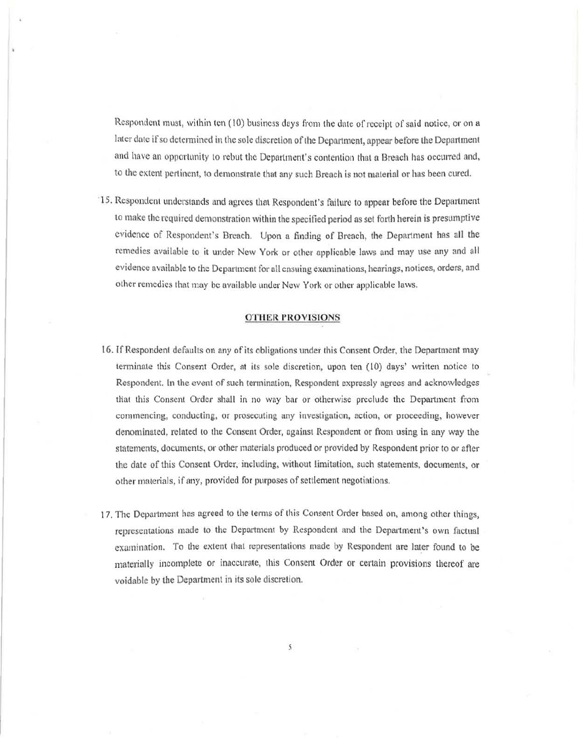Respondent must, within ten (10) business days from the date of receipt of said notice, or on a later date if so determined in the sole discretion of the Department, appear before the Department and have an opportunity to rebut the Department's contention that a Breach has occurred and, to the extent pertinent, to demonstrate that any such Breach is not material or has been cured.

15. Respondent understands and agrees that Respondent's failure to appear before the Department to make the required demonstration within the specified period as set forth herein is presumptive evidence of Respondent's Breach. Upon a finding of Breach, the Department has all the remedies available to it under New York or other applicable laws and may use any and all evidence available to the Department for all ensuing examinations, hearings, notices, orders, and other remedies that may be available under New York or other applicable laws.

## OTHER PROVISIONS

- 16. If Respondent defaults on any of its obligations under this Consent Order, the Department may terminate this Consent Order, at its sole discretion, upon ten (10) days' written notice to Respondent. In the event of such termination, Respondent expressly agrees and acknowledges tliat this Consent Order shall in no way bar or otherwise preclude the Department from commencing, conducting, or prosecuting any investigation, action, or proceeding, however denominated, related to the Consent Order, against Respondent or from using in any way the statements, documents, or other materials produced or provided by Respondent prior to or after the date of this Consent Order, including, without limitation, such statements, documents, or other materials, if any, provided for purposes of settlement negotiations.
- 17. The Department has agreed to the terms of this Consent Order based on, among other things, representations made to the Department by Respondent and the Department's own factual examination. To the extent that representations made by Respondent are later found to be materially incomplete or inaccurate, this Consent Order or certain provisions thereof are voidable by the Department in its sole discretion.

5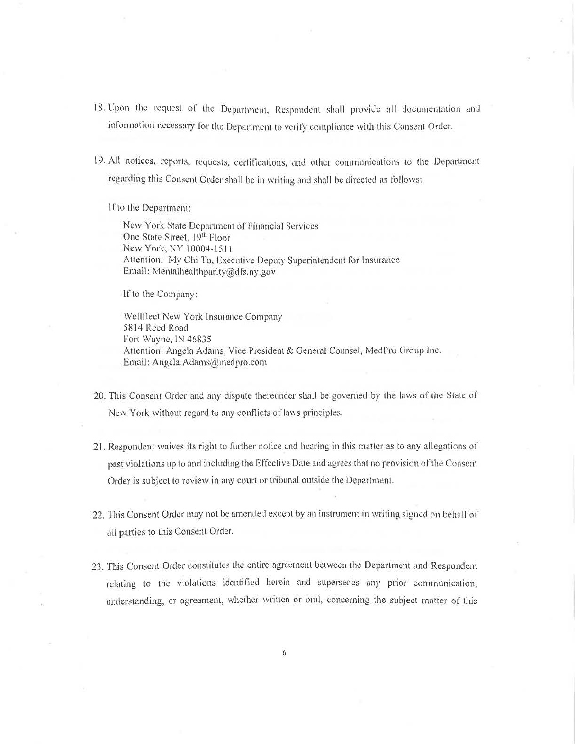- 18. Upon the request of the Department, Respondent shall provide all documentation and information necessary for the Department to verify compliance with this Consent Order.
- 19. All notices, reports, requests, certifications, and other communications to the Department regarding this Consent Order shall be in writing and shall be directed as follows:

If to the Department:

New York State Department of Financial Services One State Street, 19th Floor New York, NY 10004-1511 Attention: My Chi To, Executive Deputy Superintendent for Insurance Email: Mentalhealthparity@dfs.ny.gov

**lf** to the Company:

Wellfleet New York Insurance Company 5814 Reed Road Fort Wayne, IN 46835 Attention: Angela Adams, Vice President & General Counsel, MedPro Group Inc. Email: [Angela.Adams@medpro.com](mailto:Angela.Adams@medpro.com)

- 20. This Consent Order and any dispute thereunder shall be governed by the laws of the State of New York without regard to any conflicts of laws principles.
- 21. Respondent waives its right to further notice and hearing in this matter as to any allegations of past violations up to and including the Effective Date and agrees that no provision of the Consent Order is subject to review in any court or tribunal outside the Department.
- 22. This Consent Order may not be amended except by an instrument in writing signed on behalf of all parties to this Consent Order.
- 23. This Consent Order constitutes the entire agreement between the Department and Respondent relating to the violations identified herein and supersedes any prior communication, understanding, or agreement, whether written or oral, concerning the subject matter of this